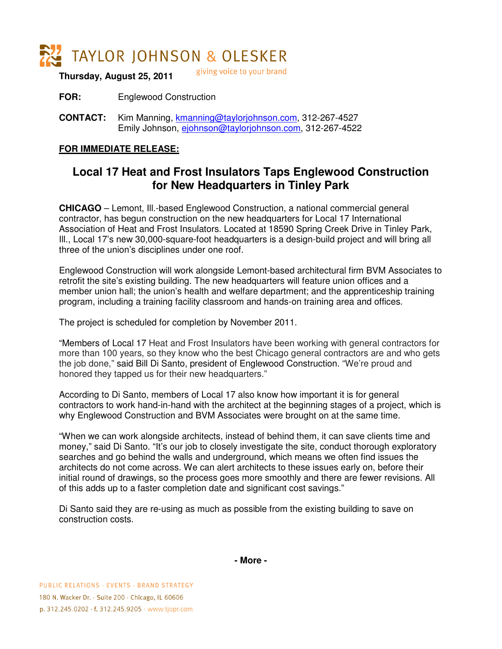

giving voice to your brand **Thursday, August 25, 2011** 

**FOR:** Englewood Construction

**CONTACT:** Kim Manning, kmanning@taylorjohnson.com, 312-267-4527 Emily Johnson, ejohnson@taylorjohnson.com, 312-267-4522

## **FOR IMMEDIATE RELEASE:**

## **Local 17 Heat and Frost Insulators Taps Englewood Construction for New Headquarters in Tinley Park**

**CHICAGO** – Lemont, Ill.-based Englewood Construction, a national commercial general contractor, has begun construction on the new headquarters for Local 17 International Association of Heat and Frost Insulators. Located at 18590 Spring Creek Drive in Tinley Park, Ill., Local 17's new 30,000-square-foot headquarters is a design-build project and will bring all three of the union's disciplines under one roof.

Englewood Construction will work alongside Lemont-based architectural firm BVM Associates to retrofit the site's existing building. The new headquarters will feature union offices and a member union hall; the union's health and welfare department; and the apprenticeship training program, including a training facility classroom and hands-on training area and offices.

The project is scheduled for completion by November 2011.

"Members of Local 17 Heat and Frost Insulators have been working with general contractors for more than 100 years, so they know who the best Chicago general contractors are and who gets the job done," said Bill Di Santo, president of Englewood Construction. "We're proud and honored they tapped us for their new headquarters."

According to Di Santo, members of Local 17 also know how important it is for general contractors to work hand-in-hand with the architect at the beginning stages of a project, which is why Englewood Construction and BVM Associates were brought on at the same time.

"When we can work alongside architects, instead of behind them, it can save clients time and money," said Di Santo. "It's our job to closely investigate the site, conduct thorough exploratory searches and go behind the walls and underground, which means we often find issues the architects do not come across. We can alert architects to these issues early on, before their initial round of drawings, so the process goes more smoothly and there are fewer revisions. All of this adds up to a faster completion date and significant cost savings."

Di Santo said they are re-using as much as possible from the existing building to save on construction costs.

**- More -**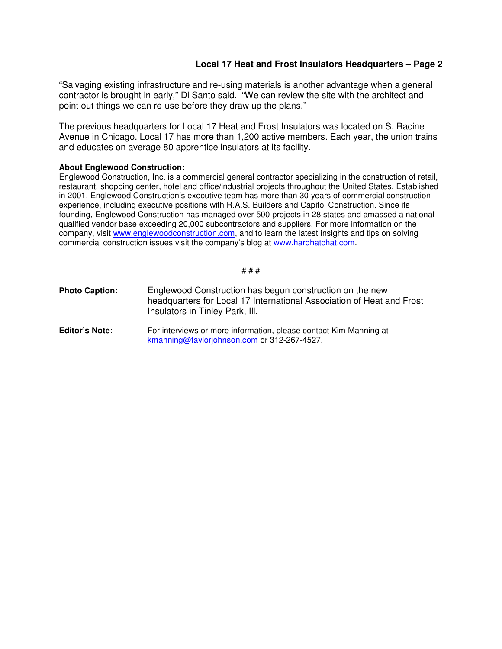## **Local 17 Heat and Frost Insulators Headquarters – Page 2**

"Salvaging existing infrastructure and re-using materials is another advantage when a general contractor is brought in early," Di Santo said. "We can review the site with the architect and point out things we can re-use before they draw up the plans."

The previous headquarters for Local 17 Heat and Frost Insulators was located on S. Racine Avenue in Chicago. Local 17 has more than 1,200 active members. Each year, the union trains and educates on average 80 apprentice insulators at its facility.

## **About Englewood Construction:**

Englewood Construction, Inc. is a commercial general contractor specializing in the construction of retail, restaurant, shopping center, hotel and office/industrial projects throughout the United States. Established in 2001, Englewood Construction's executive team has more than 30 years of commercial construction experience, including executive positions with R.A.S. Builders and Capitol Construction. Since its founding, Englewood Construction has managed over 500 projects in 28 states and amassed a national qualified vendor base exceeding 20,000 subcontractors and suppliers. For more information on the company, visit www.englewoodconstruction.com, and to learn the latest insights and tips on solving commercial construction issues visit the company's blog at www.hardhatchat.com.

# # #

| <b>Photo Caption:</b> | Englewood Construction has begun construction on the new<br>headquarters for Local 17 International Association of Heat and Frost<br>Insulators in Tinley Park, III. |
|-----------------------|----------------------------------------------------------------------------------------------------------------------------------------------------------------------|
| <b>Editor's Note:</b> | For interviews or more information, please contact Kim Manning at<br>kmanning@taylorjohnson.com or 312-267-4527.                                                     |